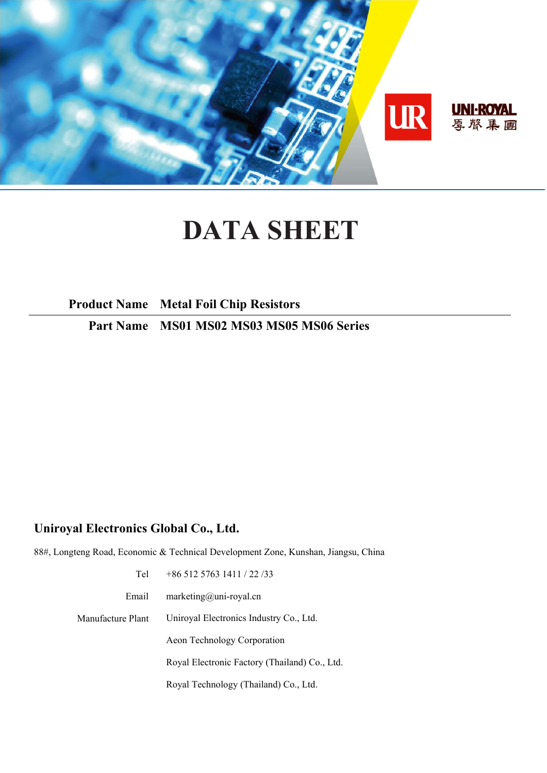

# **DATA SHEET**

**Product Name Metal Foil Chip Resistors** 

**Part Name MS01 MS02 MS03 MS05 MS06 Series** 

# **Uniroyal Electronics Global Co., Ltd.**

88#, Longteng Road, Economic & Technical Development Zone, Kunshan, Jiangsu, China

| Tel               | $+8651257631411/22/33$                        |
|-------------------|-----------------------------------------------|
| Email             | $marketing@uni-royal.cn$                      |
| Manufacture Plant | Uniroyal Electronics Industry Co., Ltd.       |
|                   | Aeon Technology Corporation                   |
|                   | Royal Electronic Factory (Thailand) Co., Ltd. |
|                   | Royal Technology (Thailand) Co., Ltd.         |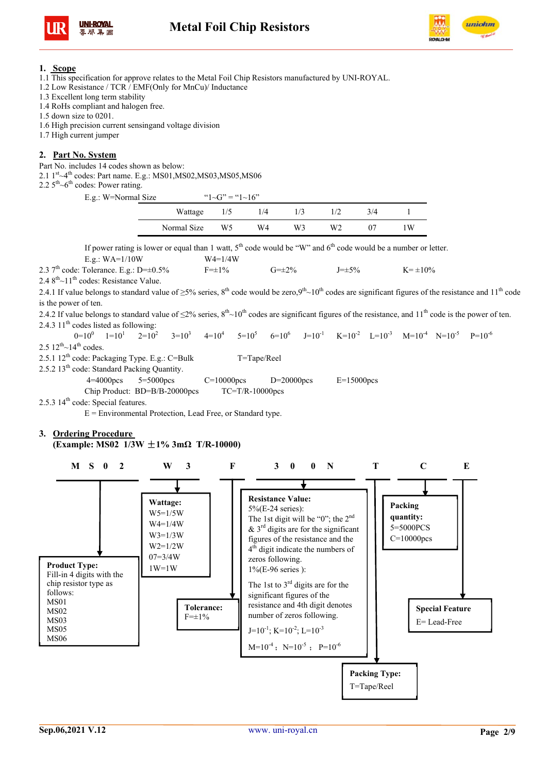



#### **1. Scope**

- 1.1 This specification for approve relates to the Metal Foil Chip Resistors manufactured by UNI-ROYAL.
- 1.2 Low Resistance / TCR / EMF(Only for MnCu)/ Inductance
- 1.3 Excellent long term stability
- 1.4 RoHs compliant and halogen free.
- 1.5 down size to 0201.
- 1.6 High precision current sensingand voltage division
- 1.7 High current jumper

#### **2. Part No. System**

Part No. includes 14 codes shown as below:

2.1  $1<sup>st</sup> \sim 4<sup>th</sup>$  codes: Part name. E.g.: MS01, MS02, MS03, MS05, MS06

2.2  $5<sup>th</sup>$   $\sim$  6<sup>th</sup> codes: Power rating.

| E.g.: W=Normal Size |             | " $1-\text{G}$ " = " $1-\text{G}$ " |     |                |    |     |    |
|---------------------|-------------|-------------------------------------|-----|----------------|----|-----|----|
|                     | Wattage     | 1/5                                 | 1/4 | 1/3            |    | 3/4 |    |
|                     | Normal Size | W5                                  | W4  | W <sub>3</sub> | W2 | 07  | ١W |

If power rating is lower or equal than 1 watt,  $5<sup>th</sup>$  code would be "W" and  $6<sup>th</sup>$  code would be a number or letter. E.g.:  $WA=1/10W$  W4=1/4W

2.3 7<sup>th</sup> code: Tolerance. E.g.:  $D=+0.5\%$  F= $\pm 1\%$  G= $\pm 2\%$  J= $\pm 5\%$  K= $\pm 10\%$ 

 $2.48^{\text{th}} \sim 11^{\text{th}}$  codes: Resistance Value.

2.4.1 If value belongs to standard value of  $>5\%$  series, 8<sup>th</sup> code would be zero,9<sup>th</sup> $\sim 10^{th}$  codes are significant figures of the resistance and 11<sup>th</sup> code is the power of ten.

2.4.2 If value belongs to standard value of  $\leq 2\%$  series,  $8<sup>th</sup>$   $\sim 10<sup>th</sup>$  codes are significant figures of the resistance, and  $11<sup>th</sup>$  code is the power of ten. 2.4.3  $11<sup>th</sup>$  codes listed as following:

 $0=10^{0}$   $1=10^{1}$   $2=10^{2}$   $3=10^{3}$   $4=10^{4}$  $4=10^4$   $5=10^5$  $6=10^6$  $J=10^{-1}$   $K=10^{-2}$   $I=10^{-3}$   $M=10^{-4}$   $N=10^{-5}$   $P=10^{-6}$  $2.5 \frac{12^{th}}{14}$  codes. 2.5.1  $12^{th}$  code: Packaging Type. E.g.: C=Bulk T=Tape/Reel

2.5.2 13<sup>th</sup> code: Standard Packing Quantity.

4=4000pcs 5=5000pcs C=10000pcs D=20000pcs E=15000pcs

Chip Product: BD=B/B-20000pcs TC=T/R-10000pcs

2.5.3 14<sup>th</sup> code: Special features.

 $E =$  Environmental Protection, Lead Free, or Standard type.

#### **3. Ordering Procedure (Example: MS02 1/3W** ±**1% 3mΩ T/R-10000)**

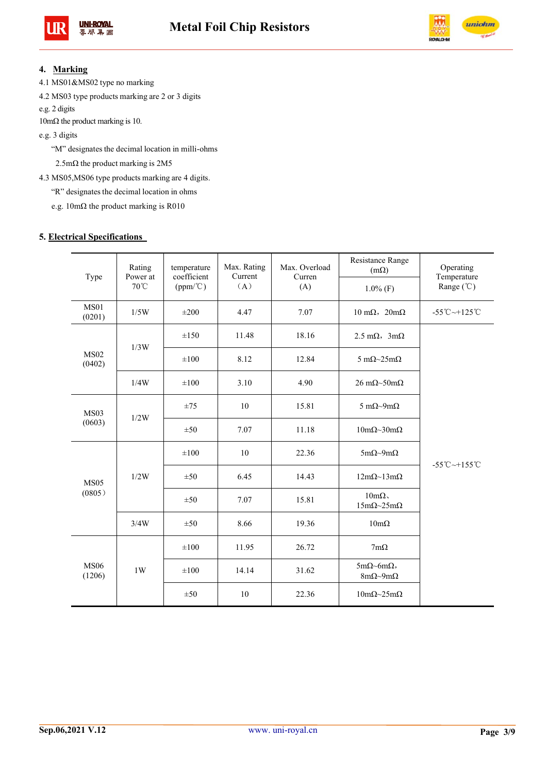



## **4. Marking**

4.1 MS01&MS02 type no marking

4.2 MS03 type products marking are 2 or 3 digits

e.g. 2 digits

10mΩ the product marking is 10.

e.g. 3 digits

"M" designates the decimal location in milli-ohms

2.5mΩ the product marking is 2M5

4.3 MS05,MS06 type products marking are 4 digits.

"R" designates the decimal location in ohms

e.g. 10mΩ the product marking is R010

#### **5. Electrical Specifications**

| Type                  | Rating<br>Power at | temperature<br>coefficient |       | Max. Overload<br>Curren | Resistance Range<br>$(m\Omega)$                       | Operating<br>Temperature          |  |
|-----------------------|--------------------|----------------------------|-------|-------------------------|-------------------------------------------------------|-----------------------------------|--|
|                       | $70^{\circ}$ C     | $(ppm/^{\circ}C)$          | (A)   | (A)                     | $1.0\%$ (F)                                           | Range $({\degree}C)$              |  |
| <b>MS01</b><br>(0201) | 1/5W               | $\pm 200$                  | 4.47  | 7.07                    | $10 \text{ m}\Omega$ , $20 \text{m}\Omega$            | $-55^{\circ}$ C $-+125^{\circ}$ C |  |
|                       | 1/3W               | $\pm 150$                  | 11.48 | 18.16                   | $2.5 \text{ m}\Omega$ , $3 \text{m}\Omega$            |                                   |  |
| <b>MS02</b><br>(0402) |                    | $\pm 100$                  | 8.12  | 12.84                   | 5 m $\Omega$ ~25m $\Omega$                            |                                   |  |
|                       | 1/4W               | $\pm 100$                  | 3.10  | 4.90                    | $26 \text{ mA}$ -50m $\Omega$                         |                                   |  |
| MS03                  | 1/2W               | ±75                        | 10    | 15.81                   | 5 m $\Omega$ ~9m $\Omega$                             |                                   |  |
| (0603)                |                    | ±50                        | 7.07  | 11.18                   | $10m\Omega \sim 30m\Omega$                            |                                   |  |
|                       | 1/2W               | $\pm 100$                  | 10    | 22.36                   | $5m\Omega \sim 9m\Omega$                              | $-55^{\circ}$ C $-+155^{\circ}$ C |  |
| <b>MS05</b>           |                    | ±50                        | 6.45  | 14.43                   | $12m\Omega \sim 13m\Omega$                            |                                   |  |
| (0805)                |                    | ±50                        | 7.07  | 15.81                   | $10 \text{m}\Omega$<br>$15m\Omega \sim 25m\Omega$     |                                   |  |
|                       | 3/4W               | ±50                        | 8.66  | 19.36                   | $10m\Omega$                                           |                                   |  |
|                       |                    | $\pm 100$                  | 11.95 | 26.72                   | $7m\Omega$                                            |                                   |  |
| <b>MS06</b><br>(1206) | 1W                 | $\pm 100$                  | 14.14 | 31.62                   | $5m\Omega$ ~6m $\Omega$ ,<br>$8m\Omega \sim 9m\Omega$ |                                   |  |
|                       |                    | ±50                        | 10    | 22.36                   | $10m\Omega \sim 25m\Omega$                            |                                   |  |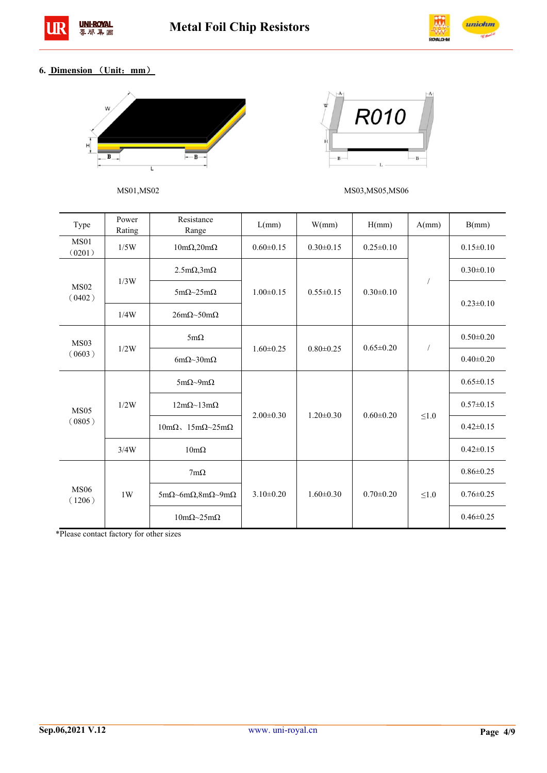



# **6. Dimension** (**Unit**:**mm**)





MS01,MS02 MS03,MS05,MS06

| Type                  | Power<br>Rating | Resistance<br>Range                                              | L(mm)           | W(mm)           | H(mm)           | A(mm)      | B(mm)           |
|-----------------------|-----------------|------------------------------------------------------------------|-----------------|-----------------|-----------------|------------|-----------------|
| <b>MS01</b><br>(0201) | 1/5W            | $10m\Omega, 20m\Omega$                                           | $0.60 \pm 0.15$ | $0.30 \pm 0.15$ | $0.25 \pm 0.10$ |            | $0.15 \pm 0.10$ |
|                       | 1/3W            | $2.5 \text{m}\Omega$ , $3 \text{m}\Omega$                        |                 |                 |                 |            | $0.30 \pm 0.10$ |
| <b>MS02</b><br>(0402) |                 | $5m\Omega \sim 25m\Omega$                                        | $1.00 \pm 0.15$ | $0.55 \pm 0.15$ | $0.30 \pm 0.10$ |            | $0.23 \pm 0.10$ |
|                       | 1/4W            | $26m\Omega \sim 50m\Omega$                                       |                 |                 |                 |            |                 |
| <b>MS03</b>           | 1/2W            | $5m\Omega$                                                       | $1.60 \pm 0.25$ | $0.80 \pm 0.25$ | $0.65 \pm 0.20$ | $\sqrt{2}$ | $0.50 \pm 0.20$ |
| (0603)                |                 | 6m $\Omega$ ~30m $\Omega$                                        |                 |                 |                 |            | $0.40 \pm 0.20$ |
|                       | 1/2W            | $5m\Omega \sim 9m\Omega$                                         | $2.00 \pm 0.30$ |                 |                 | $\leq1.0$  | $0.65 \pm 0.15$ |
| <b>MS05</b>           |                 | $12m\Omega \sim 13m\Omega$                                       |                 | $1.20 \pm 0.30$ | $0.60 \pm 0.20$ |            | $0.57 \pm 0.15$ |
| (0805)                |                 | $10 \text{m}\Omega$ , $15 \text{m}\Omega \sim 25 \text{m}\Omega$ |                 |                 |                 |            | $0.42 \pm 0.15$ |
|                       | 3/4W            | $10m\Omega$                                                      |                 |                 |                 |            | $0.42 \pm 0.15$ |
| <b>MS06</b><br>(1206) |                 | $7m\Omega$                                                       |                 |                 | $0.70 \pm 0.20$ | $\leq1.0$  | $0.86 \pm 0.25$ |
|                       | 1W              | $5m\Omega$ ~6m $\Omega$ ,8m $\Omega$ ~9m $\Omega$                | $3.10\pm0.20$   | $1.60 \pm 0.30$ |                 |            | $0.76 \pm 0.25$ |
|                       |                 | $10m\Omega \sim 25m\Omega$                                       |                 |                 |                 |            | $0.46 \pm 0.25$ |

\*Please contact factory for other sizes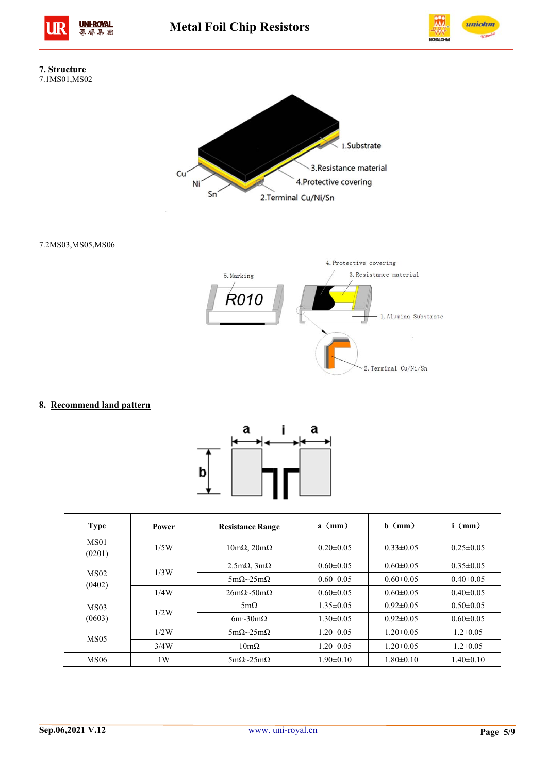







7.2MS03,MS05,MS06



## **8. Recommend land pattern**



| <b>Type</b>                | Power | <b>Resistance Range</b>                   | $a \pmod{m}$    | $h$ (mm)        | $i \pmod{2}$    |
|----------------------------|-------|-------------------------------------------|-----------------|-----------------|-----------------|
| MS <sub>01</sub><br>(0201) | 1/5W  | $10 \text{m}\Omega$ , $20 \text{m}\Omega$ | $0.20 \pm 0.05$ | $0.33 \pm 0.05$ | $0.25 \pm 0.05$ |
|                            |       | $2.5 \text{m}\Omega$ , $3 \text{m}\Omega$ | $0.60 \pm 0.05$ | $0.60 \pm 0.05$ | $0.35\pm0.05$   |
| MS <sub>02</sub><br>(0402) | 1/3W  | $5m\Omega \sim 25m\Omega$                 | $0.60 \pm 0.05$ | $0.60 \pm 0.05$ | $0.40 \pm 0.05$ |
|                            | 1/4W  | $26m\Omega \sim 50m\Omega$                | $0.60 \pm 0.05$ | $0.60 \pm 0.05$ | $0.40 \pm 0.05$ |
| MS <sub>03</sub>           |       | $5m\Omega$                                | $1.35 \pm 0.05$ | $0.92\pm0.05$   | $0.50 \pm 0.05$ |
| (0603)                     | 1/2W  | 6m~30m $\Omega$                           | $1.30\pm0.05$   | $0.92 \pm 0.05$ | $0.60 \pm 0.05$ |
|                            | 1/2W  | $5mO\sim25mO$                             | $1.20 \pm 0.05$ | $1.20 \pm 0.05$ | $1.2 \pm 0.05$  |
| <b>MS05</b>                | 3/4W  | $10m\Omega$                               | $1.20 \pm 0.05$ | $1.20 \pm 0.05$ | $1.2 \pm 0.05$  |
| <b>MS06</b>                | 1W    | $5m\Omega \sim 25m\Omega$                 | $1.90 \pm 0.10$ | $1.80 \pm 0.10$ | $1.40 \pm 0.10$ |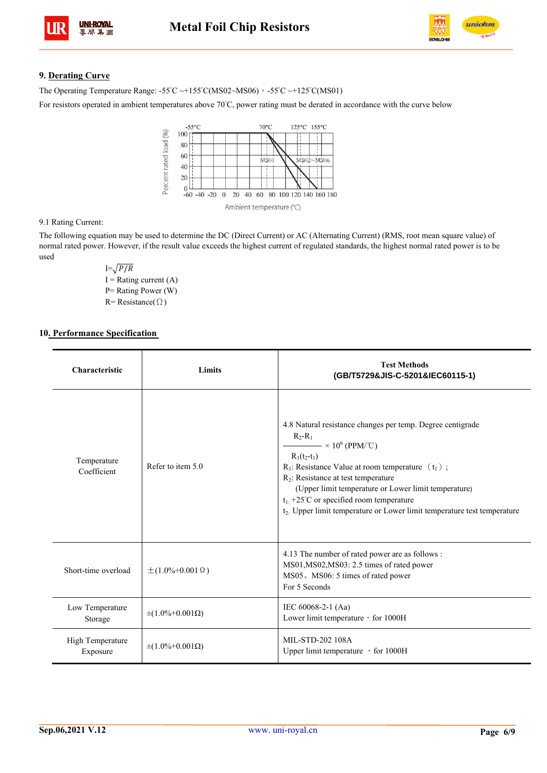

# **9. Derating Curve**

J.

The Operating Temperature Range:  $-55^{\circ}\text{C} \rightarrow +155^{\circ}\text{C}(\text{MS02}\sim\text{MS06})$ ,  $-55^{\circ}\text{C} \rightarrow +125^{\circ}\text{C}(\text{MS01})$ 

For resistors operated in ambient temperatures above 70°C, power rating must be derated in accordance with the curve below



#### 9.1 Rating Current:

The following equation may be used to determine the DC (Direct Current) or AC (Alternating Current) (RMS, root mean square value) of normal rated power. However, if the result value exceeds the highest current of regulated standards, the highest normal rated power is to be used

> $I=\sqrt{P/R}$  $I =$ Rating current (A) P= Rating Power (W) R= Resistance(Ω)

#### **10. Performance Specification**

| Characteristic               | Limits                       | <b>Test Methods</b><br>(GB/T5729&JIS-C-5201&IEC60115-1)                                                                                                                                                                                                                                                                                                                                                                                      |
|------------------------------|------------------------------|----------------------------------------------------------------------------------------------------------------------------------------------------------------------------------------------------------------------------------------------------------------------------------------------------------------------------------------------------------------------------------------------------------------------------------------------|
| Temperature<br>Coefficient   | Refer to item 5.0            | 4.8 Natural resistance changes per temp. Degree centigrade<br>$R_2-R_1$<br>$\longrightarrow$ × 10 <sup>6</sup> (PPM/°C)<br>$R_1(t_2-t_1)$<br>$R_1$ : Resistance Value at room temperature $(t_1)$ ;<br>$R_2$ : Resistance at test temperature<br>(Upper limit temperature or Lower limit temperature)<br>$t_1$ : +25°C or specified room temperature<br>t <sub>2</sub> . Upper limit temperature or Lower limit temperature test temperature |
| Short-time overload          | $\pm (1.0\% + 0.001 \Omega)$ | 4.13 The number of rated power are as follows :<br>MS01, MS02, MS03: 2.5 times of rated power<br>MS05, MS06: 5 times of rated power<br>For 5 Seconds                                                                                                                                                                                                                                                                                         |
| Low Temperature<br>Storage   | $\pm (1.0\% + 0.001 \Omega)$ | IEC 60068-2-1 (Aa)<br>Lower limit temperature, for 1000H                                                                                                                                                                                                                                                                                                                                                                                     |
| High Temperature<br>Exposure | $\pm (1.0\% + 0.001 \Omega)$ | MIL-STD-202 108A<br>Upper limit temperature $\cdot$ for 1000H                                                                                                                                                                                                                                                                                                                                                                                |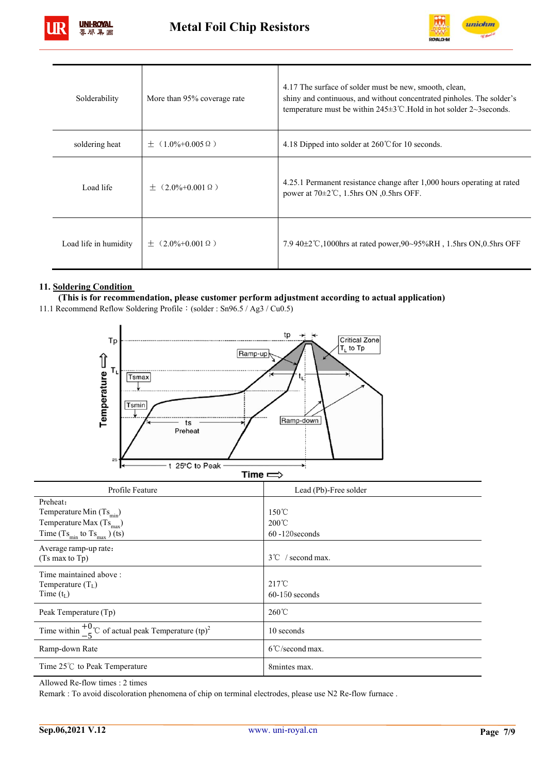



| Solderability         | More than 95% coverage rate        | 4.17 The surface of solder must be new, smooth, clean,<br>shiny and continuous, and without concentrated pinholes. The solder's<br>temperature must be within $245\pm3$ °C. Hold in hot solder 2~3 seconds. |
|-----------------------|------------------------------------|-------------------------------------------------------------------------------------------------------------------------------------------------------------------------------------------------------------|
| soldering heat        | $(1.0\% + 0.005 \Omega)$<br>$^{+}$ | 4.18 Dipped into solder at $260^{\circ}$ C for 10 seconds.                                                                                                                                                  |
| Load life             | $(2.0\% + 0.001 \Omega)$<br>$+$    | 4.25.1 Permanent resistance change after 1,000 hours operating at rated<br>power at $70\pm2\degree$ C, 1.5hrs ON 0.5hrs OFF.                                                                                |
| Load life in humidity | $+$ (2.0%+0.001 $\Omega$ )         | 7.9 40 $\pm$ 2°C,1000hrs at rated power,90~95%RH, 1.5hrs ON,0.5hrs OFF                                                                                                                                      |

# **11. Soldering Condition**

**(This is for recommendation, please customer perform adjustment according to actual application)** 

11.1 Recommend Reflow Soldering Profile: (solder : Sn96.5 / Ag3 / Cu0.5)



| Profile Feature                                                             | Lead (Pb)-Free solder               |
|-----------------------------------------------------------------------------|-------------------------------------|
| Preheat:                                                                    |                                     |
| Temperature Min $(Ts_{min})$                                                | $150^{\circ}$ C                     |
| Temperature Max $(Ts_{\text{max}})$                                         | $200^{\circ}$ C                     |
| Time $(Ts_{min}$ to $Ts_{max}$ ) (ts)                                       | $60 - 120$ seconds                  |
| Average ramp-up rate:                                                       |                                     |
| $(Ts \max to Tp)$                                                           | $3^{\circ}$ / second max.           |
| Time maintained above:<br>Temperature $(T_L)$<br>Time $(t_L)$               | $217^{\circ}$ C<br>$60-150$ seconds |
| Peak Temperature (Tp)                                                       | $260^{\circ}$ C                     |
| Time within $\frac{+0}{-5}$ °C of actual peak Temperature (tp) <sup>2</sup> | 10 seconds                          |
| Ramp-down Rate                                                              | $6^{\circ}$ C/second max.           |
| Time $25^{\circ}$ C to Peak Temperature                                     | 8mintes max.                        |

Allowed Re-flow times : 2 times

Remark : To avoid discoloration phenomena of chip on terminal electrodes, please use N2 Re-flow furnace .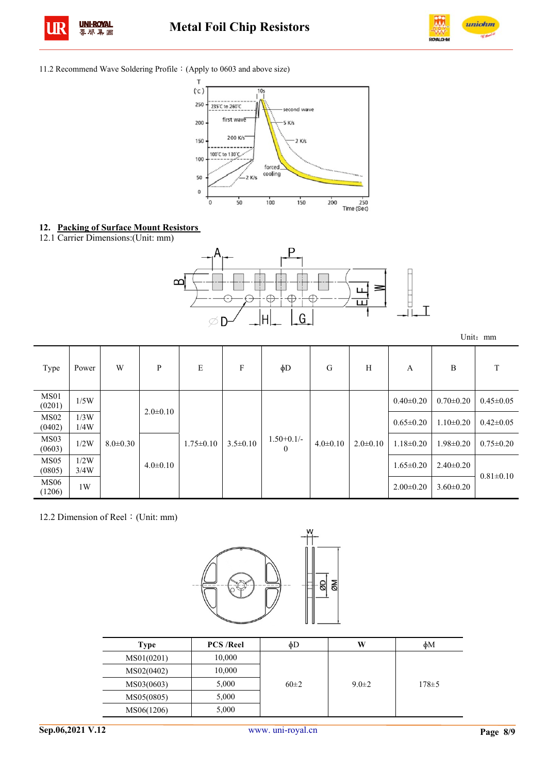



#### 11.2 Recommend Wave Soldering Profile:(Apply to 0603 and above size)



- **12. Packing of Surface Mount Resistors**
- 12.1 Carrier Dimensions:(Unit: mm)



Unit:mm

| Type                       | Power        | W              | P              | E               | F              | $\phi$ D                 | G              | H              | A               | B               |                 |
|----------------------------|--------------|----------------|----------------|-----------------|----------------|--------------------------|----------------|----------------|-----------------|-----------------|-----------------|
| MS <sub>01</sub><br>(0201) | 1/5W         |                | $2.0 \pm 0.10$ |                 |                | $1.50+0.1/-$<br>$\Omega$ | $4.0 \pm 0.10$ | $2.0 \pm 0.10$ | $0.40 \pm 0.20$ | $0.70 \pm 0.20$ | $0.45 \pm 0.05$ |
| MS02<br>(0402)             | 1/3W<br>1/4W |                |                | $1.75 \pm 0.10$ |                |                          |                |                | $0.65 \pm 0.20$ | $1.10 \pm 0.20$ | $0.42 \pm 0.05$ |
| MS <sub>03</sub><br>(0603) | 1/2W         | $8.0 \pm 0.30$ | $4.0 \pm 0.10$ |                 | $3.5 \pm 0.10$ |                          |                |                | $1.18 \pm 0.20$ | $1.98 \pm 0.20$ | $0.75 \pm 0.20$ |
| MS05<br>(0805)             | 1/2W<br>3/4W |                |                |                 |                |                          |                |                |                 | $1.65 \pm 0.20$ | $2.40 \pm 0.20$ |
| <b>MS06</b><br>(1206)      | 1W           |                |                |                 |                |                          |                |                | $2.00 \pm 0.20$ | $3.60 \pm 0.20$ |                 |

12.2 Dimension of Reel: (Unit: mm)



| Type       | <b>PCS/Reel</b> | фD       | W           | фM          |
|------------|-----------------|----------|-------------|-------------|
| MS01(0201) | 10,000          |          |             |             |
| MS02(0402) | 10,000          |          | $9.0 \pm 2$ | $178 \pm 5$ |
| MS03(0603) | 5,000           | $60\pm2$ |             |             |
| MS05(0805) | 5,000           |          |             |             |
| MS06(1206) | 5,000           |          |             |             |